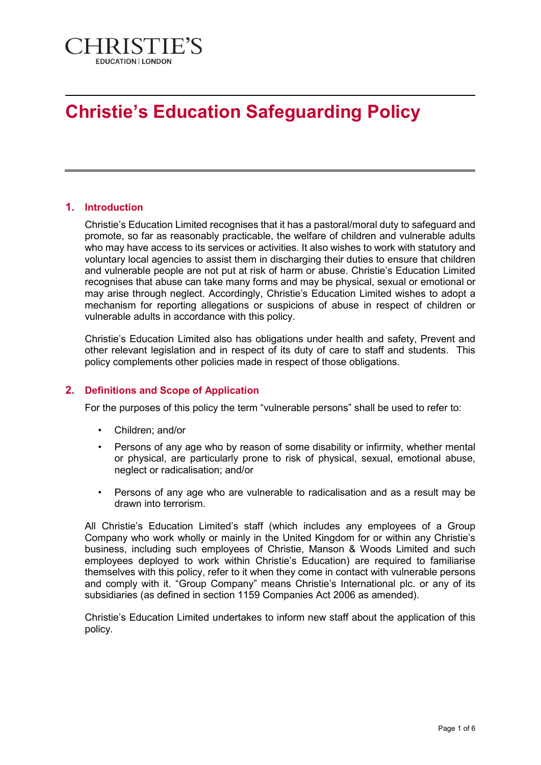

# **Christie's Education Safeguarding Policy**

## **1. Introduction**

Christie's Education Limited recognises that it has a pastoral/moral duty to safeguard and promote, so far as reasonably practicable, the welfare of children and vulnerable adults who may have access to its services or activities. It also wishes to work with statutory and voluntary local agencies to assist them in discharging their duties to ensure that children and vulnerable people are not put at risk of harm or abuse. Christie's Education Limited recognises that abuse can take many forms and may be physical, sexual or emotional or may arise through neglect. Accordingly, Christie's Education Limited wishes to adopt a mechanism for reporting allegations or suspicions of abuse in respect of children or vulnerable adults in accordance with this policy.

Christie's Education Limited also has obligations under health and safety, Prevent and other relevant legislation and in respect of its duty of care to staff and students. This policy complements other policies made in respect of those obligations.

## **2. Definitions and Scope of Application**

For the purposes of this policy the term "vulnerable persons" shall be used to refer to:

- Children; and/or
- Persons of any age who by reason of some disability or infirmity, whether mental or physical, are particularly prone to risk of physical, sexual, emotional abuse, neglect or radicalisation; and/or
- Persons of any age who are vulnerable to radicalisation and as a result may be drawn into terrorism.

All Christie's Education Limited's staff (which includes any employees of a Group Company who work wholly or mainly in the United Kingdom for or within any Christie's business, including such employees of Christie, Manson & Woods Limited and such employees deployed to work within Christie's Education) are required to familiarise themselves with this policy, refer to it when they come in contact with vulnerable persons and comply with it. "Group Company" means Christie's International plc. or any of its subsidiaries (as defined in section 1159 Companies Act 2006 as amended).

Christie's Education Limited undertakes to inform new staff about the application of this policy.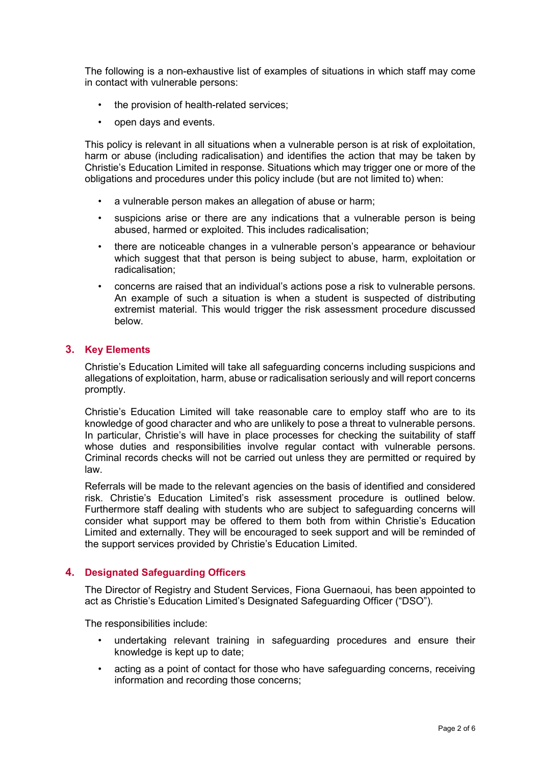The following is a non-exhaustive list of examples of situations in which staff may come in contact with vulnerable persons:

- the provision of health-related services;
- open days and events.

This policy is relevant in all situations when a vulnerable person is at risk of exploitation, harm or abuse (including radicalisation) and identifies the action that may be taken by Christie's Education Limited in response. Situations which may trigger one or more of the obligations and procedures under this policy include (but are not limited to) when:

- a vulnerable person makes an allegation of abuse or harm;
- suspicions arise or there are any indications that a vulnerable person is being abused, harmed or exploited. This includes radicalisation;
- there are noticeable changes in a vulnerable person's appearance or behaviour which suggest that that person is being subject to abuse, harm, exploitation or radicalisation;
- concerns are raised that an individual's actions pose a risk to vulnerable persons. An example of such a situation is when a student is suspected of distributing extremist material. This would trigger the risk assessment procedure discussed below.

#### **3. Key Elements**

Christie's Education Limited will take all safeguarding concerns including suspicions and allegations of exploitation, harm, abuse or radicalisation seriously and will report concerns promptly.

Christie's Education Limited will take reasonable care to employ staff who are to its knowledge of good character and who are unlikely to pose a threat to vulnerable persons. In particular, Christie's will have in place processes for checking the suitability of staff whose duties and responsibilities involve regular contact with vulnerable persons. Criminal records checks will not be carried out unless they are permitted or required by law.

Referrals will be made to the relevant agencies on the basis of identified and considered risk. Christie's Education Limited's risk assessment procedure is outlined below. Furthermore staff dealing with students who are subject to safeguarding concerns will consider what support may be offered to them both from within Christie's Education Limited and externally. They will be encouraged to seek support and will be reminded of the support services provided by Christie's Education Limited.

#### **4. Designated Safeguarding Officers**

The Director of Registry and Student Services, Fiona Guernaoui, has been appointed to act as Christie's Education Limited's Designated Safeguarding Officer ("DSO").

The responsibilities include:

- undertaking relevant training in safeguarding procedures and ensure their knowledge is kept up to date;
- acting as a point of contact for those who have safeguarding concerns, receiving information and recording those concerns;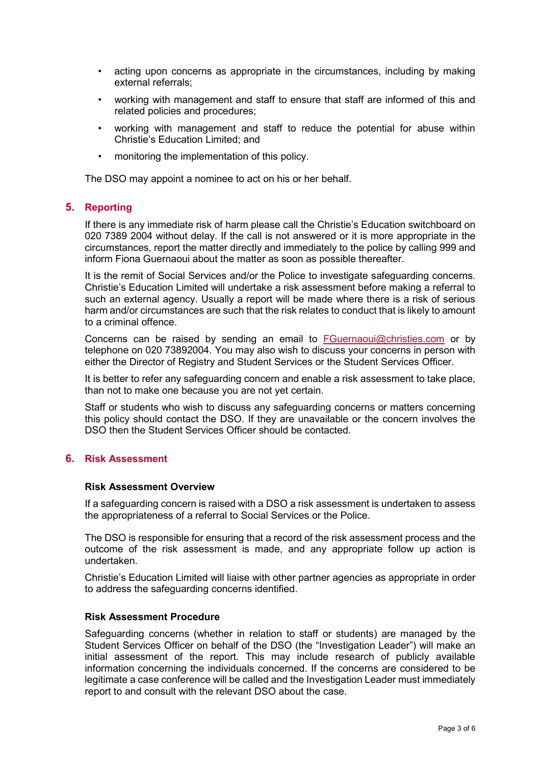- acting upon concerns as appropriate in the circumstances, including by making external referrals;
- working with management and staff to ensure that staff are informed of this and related policies and procedures;
- working with management and staff to reduce the potential for abuse within Christie's Education Limited; and
- monitoring the implementation of this policy.

The DSO may appoint a nominee to act on his or her behalf.

#### **5. Reporting**

If there is any immediate risk of harm please call the Christie's Education switchboard on 020 7389 2004 without delay. If the call is not answered or it is more appropriate in the circumstances, report the matter directly and immediately to the police by calling 999 and inform Fiona Guernaoui about the matter as soon as possible thereafter.

It is the remit of Social Services and/or the Police to investigate safeguarding concerns. Christie's Education Limited will undertake a risk assessment before making a referral to such an external agency. Usually a report will be made where there is a risk of serious harm and/or circumstances are such that the risk relates to conduct that is likely to amount to a criminal offence.

Concerns can be raised by sending an email to [FGuernaoui@christies.com](mailto:FGuernaoui@christies.com) or by telephone on 020 73892004. You may also wish to discuss your concerns in person with either the Director of Registry and Student Services or the Student Services Officer.

It is better to refer any safeguarding concern and enable a risk assessment to take place, than not to make one because you are not yet certain.

Staff or students who wish to discuss any safeguarding concerns or matters concerning this policy should contact the DSO. If they are unavailable or the concern involves the DSO then the Student Services Officer should be contacted.

## **6. Risk Assessment**

#### **Risk Assessment Overview**

If a safeguarding concern is raised with a DSO a risk assessment is undertaken to assess the appropriateness of a referral to Social Services or the Police.

The DSO is responsible for ensuring that a record of the risk assessment process and the outcome of the risk assessment is made, and any appropriate follow up action is undertaken.

Christie's Education Limited will liaise with other partner agencies as appropriate in order to address the safeguarding concerns identified.

#### **Risk Assessment Procedure**

Safeguarding concerns (whether in relation to staff or students) are managed by the Student Services Officer on behalf of the DSO (the "Investigation Leader") will make an initial assessment of the report. This may include research of publicly available information concerning the individuals concerned. If the concerns are considered to be legitimate a case conference will be called and the Investigation Leader must immediately report to and consult with the relevant DSO about the case.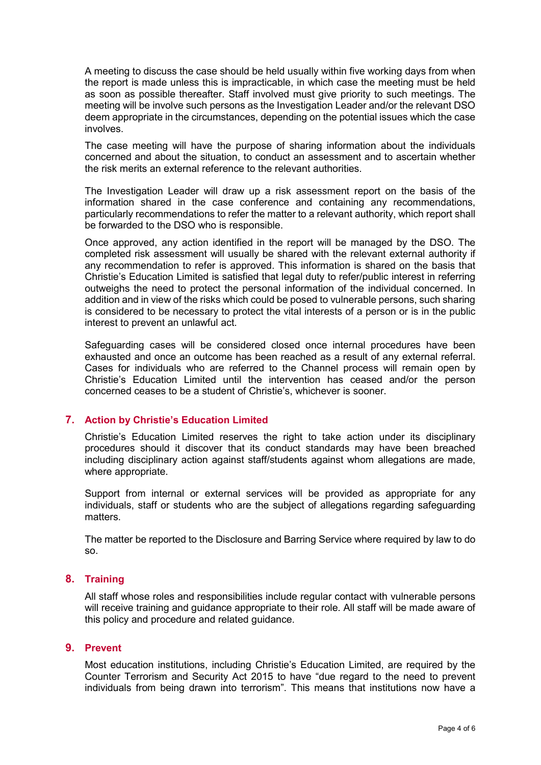A meeting to discuss the case should be held usually within five working days from when the report is made unless this is impracticable, in which case the meeting must be held as soon as possible thereafter. Staff involved must give priority to such meetings. The meeting will be involve such persons as the Investigation Leader and/or the relevant DSO deem appropriate in the circumstances, depending on the potential issues which the case involves.

The case meeting will have the purpose of sharing information about the individuals concerned and about the situation, to conduct an assessment and to ascertain whether the risk merits an external reference to the relevant authorities.

The Investigation Leader will draw up a risk assessment report on the basis of the information shared in the case conference and containing any recommendations, particularly recommendations to refer the matter to a relevant authority, which report shall be forwarded to the DSO who is responsible.

Once approved, any action identified in the report will be managed by the DSO. The completed risk assessment will usually be shared with the relevant external authority if any recommendation to refer is approved. This information is shared on the basis that Christie's Education Limited is satisfied that legal duty to refer/public interest in referring outweighs the need to protect the personal information of the individual concerned. In addition and in view of the risks which could be posed to vulnerable persons, such sharing is considered to be necessary to protect the vital interests of a person or is in the public interest to prevent an unlawful act.

Safeguarding cases will be considered closed once internal procedures have been exhausted and once an outcome has been reached as a result of any external referral. Cases for individuals who are referred to the Channel process will remain open by Christie's Education Limited until the intervention has ceased and/or the person concerned ceases to be a student of Christie's, whichever is sooner.

## **7. Action by Christie's Education Limited**

Christie's Education Limited reserves the right to take action under its disciplinary procedures should it discover that its conduct standards may have been breached including disciplinary action against staff/students against whom allegations are made, where appropriate.

Support from internal or external services will be provided as appropriate for any individuals, staff or students who are the subject of allegations regarding safeguarding matters.

The matter be reported to the Disclosure and Barring Service where required by law to do so.

## **8. Training**

All staff whose roles and responsibilities include regular contact with vulnerable persons will receive training and guidance appropriate to their role. All staff will be made aware of this policy and procedure and related guidance.

#### **9. Prevent**

Most education institutions, including Christie's Education Limited, are required by the Counter Terrorism and Security Act 2015 to have "due regard to the need to prevent individuals from being drawn into terrorism". This means that institutions now have a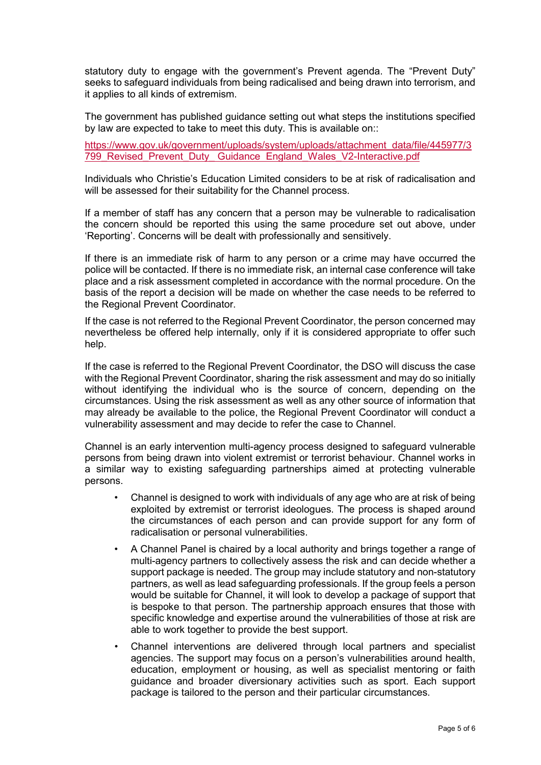statutory duty to engage with the government's Prevent agenda. The "Prevent Duty" seeks to safeguard individuals from being radicalised and being drawn into terrorism, and it applies to all kinds of extremism.

The government has published guidance setting out what steps the institutions specified by law are expected to take to meet this duty. This is available on::

[https://www.gov.uk/government/uploads/system/uploads/attachment\\_data/file/445977/3](https://www.gov.uk/government/uploads/system/uploads/attachment_data/file/445977/3799_Revised_Prevent_Duty_%20Guidance%20%20England_Wales_V2-Interactive.pdf) [799\\_Revised\\_Prevent\\_Duty\\_ Guidance England\\_Wales\\_V2-Interactive.pdf](https://www.gov.uk/government/uploads/system/uploads/attachment_data/file/445977/3799_Revised_Prevent_Duty_%20Guidance%20%20England_Wales_V2-Interactive.pdf)

Individuals who Christie's Education Limited considers to be at risk of radicalisation and will be assessed for their suitability for the Channel process.

If a member of staff has any concern that a person may be vulnerable to radicalisation the concern should be reported this using the same procedure set out above, under 'Reporting'. Concerns will be dealt with professionally and sensitively.

If there is an immediate risk of harm to any person or a crime may have occurred the police will be contacted. If there is no immediate risk, an internal case conference will take place and a risk assessment completed in accordance with the normal procedure. On the basis of the report a decision will be made on whether the case needs to be referred to the Regional Prevent Coordinator.

If the case is not referred to the Regional Prevent Coordinator, the person concerned may nevertheless be offered help internally, only if it is considered appropriate to offer such help.

If the case is referred to the Regional Prevent Coordinator, the DSO will discuss the case with the Regional Prevent Coordinator, sharing the risk assessment and may do so initially without identifying the individual who is the source of concern, depending on the circumstances. Using the risk assessment as well as any other source of information that may already be available to the police, the Regional Prevent Coordinator will conduct a vulnerability assessment and may decide to refer the case to Channel.

Channel is an early intervention multi-agency process designed to safeguard vulnerable persons from being drawn into violent extremist or terrorist behaviour. Channel works in a similar way to existing safeguarding partnerships aimed at protecting vulnerable persons.

- Channel is designed to work with individuals of any age who are at risk of being exploited by extremist or terrorist ideologues. The process is shaped around the circumstances of each person and can provide support for any form of radicalisation or personal vulnerabilities.
- A Channel Panel is chaired by a local authority and brings together a range of multi-agency partners to collectively assess the risk and can decide whether a support package is needed. The group may include statutory and non-statutory partners, as well as lead safeguarding professionals. If the group feels a person would be suitable for Channel, it will look to develop a package of support that is bespoke to that person. The partnership approach ensures that those with specific knowledge and expertise around the vulnerabilities of those at risk are able to work together to provide the best support.
- Channel interventions are delivered through local partners and specialist agencies. The support may focus on a person's vulnerabilities around health, education, employment or housing, as well as specialist mentoring or faith guidance and broader diversionary activities such as sport. Each support package is tailored to the person and their particular circumstances.